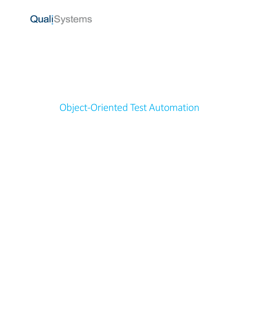

# Object-Oriented Test Automation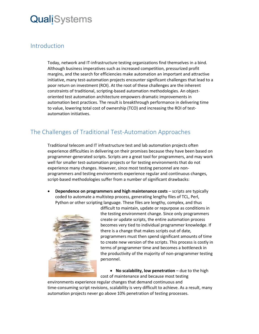#### Introduction

Today, network and IT-infrastructure testing organizations find themselves in a bind. Although business imperatives such as increased competition, pressurized profit margins, and the search for efficiencies make automation an important and attractive initiative, many test-automation projects encounter significant challenges that lead to a poor return on investment (ROI). At the root of these challenges are the inherent constraints of traditional, scripting-based automation methodologies. An objectoriented test automation architecture empowers dramatic improvements in automation best practices. The result is breakthrough performance in delivering time to value, lowering total cost of ownership (TCO) and increasing the ROI of testautomation initiatives.

### The Challenges of Traditional Test-Automation Approaches

Traditional telecom and IT infrastructure test and lab automation projects often experience difficulties in delivering on their promises because they have been based on programmer-generated scripts. Scripts are a great tool for programmers, and may work well for smaller test-automation projects or for testing environments that do not experience many changes. However, since most testing personnel are nonprogrammers and testing environments experience regular and continuous changes, script-based methodologies suffer from a number of significant drawbacks:

 **Dependence on programmers and high maintenance costs** – scripts are typically coded to automate a multistep process, generating lengthy files of TCL, Perl, Python or other scripting language. These files are lengthy, complex, and thus



difficult to maintain, update or repurpose as conditions in the testing environment change. Since only programmers create or update scripts, the entire automation process becomes very tied to individual programmer knowledge. If there is a change that makes scripts out of date, programmers must then spend significant amounts of time to create new version of the scripts. This process is costly in terms of programmer time and becomes a bottleneck in the productivity of the majority of non-programmer testing personnel.

 **No scalability, low penetration** – due to the high cost of maintenance and because most testing

environments experience regular changes that demand continuous and time-consuming script revisions, scalability is very difficult to achieve. As a result, many automation projects never go above 10% penetration of testing processes.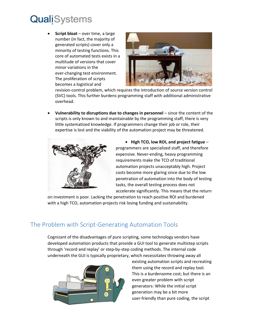**Script bloat** – over time, a large number (in fact, the majority of generated scripts) cover only a minority of testing functions. This core of automated tests exists in a multitude of versions that cover minor variations in the ever-changing test environment. The proliferation of scripts becomes a logistical and



revision-control problem, which requires the introduction of source version control (SVC) tools. This further burdens programming staff with additional administrative overhead.

 **Vulnerability to disruptions due to changes in personnel** – since the content of the scripts is only known to and maintainable by the programming staff, there is very little systematized knowledge. If programmers change their job or role, their expertise is lost and the viability of the automation project may be threatened.



 **High TCO, low ROI, and project fatigue** – programmers are specialized staff, and therefore expensive. Never-ending, heavy programming requirements make the TCO of traditional automation projects unacceptably high. Project costs become more glaring since due to the low penetration of automation into the body of testing tasks, the overall testing process does not accelerate significantly. This means that the return

on investment is poor. Lacking the penetration to reach positive ROI and burdened with a high TCO, automation projects risk losing funding and sustainability.

### The Problem with Script-Generating Automation Tools

Cognizant of the disadvantages of pure scripting, some technology vendors have developed automation products that provide a GUI tool to generate multistep scripts through 'record and replay' or step-by-step coding methods. The internal code underneath the GUI is typically proprietary, which necessitates throwing away all



existing automation scripts and recreating them using the record and replay tool. This is a burdensome cost; but there is an even greater problem with script generators: While the initial script generation may be a bit more user-friendly than pure coding, the script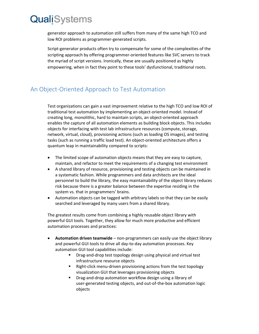generator approach to automation still suffers from many of the same high TCO and low ROI problems as programmer-generated scripts.

Script-generator products often try to compensate for some of the complexities of the scripting approach by offering programmer-oriented features like SVC servers to track the myriad of script versions. Ironically, these are usually positioned as highly empowering, when in fact they point to these tools' dysfunctional, traditional roots.

### An Object-Oriented Approach to Test Automation

Test organizations can gain a vast improvement relative to the high TCO and low ROI of traditional test automation by implementing an object-oriented model. Instead of creating long, monolithic, hard to maintain scripts, an object-oriented approach enables the capture of all automation elements as building block objects. This includes objects for interfacing with test lab infrastructure resources (compute, storage, network, virtual, cloud), provisioning actions (such as loading OS images), and testing tasks (such as running a traffic load test). An object-oriented architecture offers a quantum leap in maintainability compared to scripts:

- The limited scope of automation objects means that they are easy to capture, maintain, and refactor to meet the requirements of a changing test environment
- A shared library of resource, provisioning and testing objects can be maintained in a systematic fashion. While programmers and data architects are the ideal personnel to build the library, the easy maintainability of the object library reduces risk because there is a greater balance between the expertise residing in the system vs. that in programmers' brains.
- Automation objects can be tagged with arbitrary labels so that they can be easily searched and leveraged by many users from a shared library.

The greatest results come from combining a highly reusable object library with powerful GUI tools. Together, they allow for much more productive and efficient automation processes and practices:

- **Automation driven teamwide** non-programmers can easily use the object library and powerful GUI tools to drive all day-to-day automation processes. Key automation GUI tool capabilities include:
	- Drag-and-drop test topology design using physical and virtual test infrastructure resource objects
	- Right-click menu-driven provisioning actions from the test topology visualization GUI that leverages provisioning objects
	- Drag-and-drop automation workflow design using a library of user-generated testing objects, and out-of-the-box automation logic objects